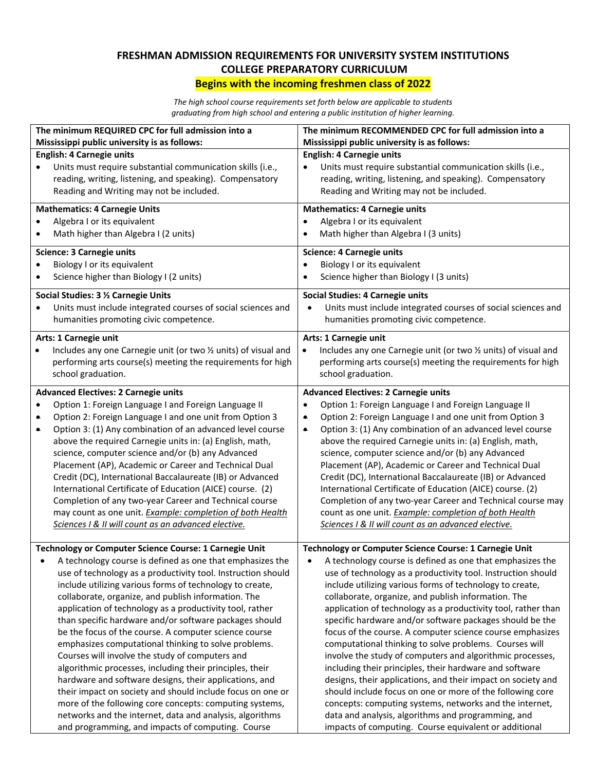## **FRESHMAN ADMISSION REQUIREMENTS FOR UNIVERSITY SYSTEM INSTITUTIONS COLLEGE PREPARATORY CURRICULUM Begins with the incoming freshmen class of 2022**

*The high school course requirements set forth below are applicable to students graduating from high school and entering a public institution of higher learning.*

| The minimum REQUIRED CPC for full admission into a |                                                                 | The minimum RECOMMENDED CPC for full admission into a                        |  |  |  |
|----------------------------------------------------|-----------------------------------------------------------------|------------------------------------------------------------------------------|--|--|--|
| Mississippi public university is as follows:       |                                                                 | Mississippi public university is as follows:                                 |  |  |  |
|                                                    | <b>English: 4 Carnegie units</b>                                | <b>English: 4 Carnegie units</b>                                             |  |  |  |
|                                                    | Units must require substantial communication skills (i.e.,      | Units must require substantial communication skills (i.e.,                   |  |  |  |
|                                                    | reading, writing, listening, and speaking). Compensatory        | reading, writing, listening, and speaking). Compensatory                     |  |  |  |
|                                                    | Reading and Writing may not be included.                        | Reading and Writing may not be included.                                     |  |  |  |
|                                                    | <b>Mathematics: 4 Carnegie Units</b>                            | <b>Mathematics: 4 Carnegie units</b>                                         |  |  |  |
|                                                    | Algebra I or its equivalent                                     | Algebra I or its equivalent                                                  |  |  |  |
|                                                    | Math higher than Algebra I (2 units)                            | Math higher than Algebra I (3 units)                                         |  |  |  |
|                                                    | <b>Science: 3 Carnegie units</b>                                | <b>Science: 4 Carnegie units</b>                                             |  |  |  |
| ٠                                                  | Biology I or its equivalent                                     | Biology I or its equivalent<br>$\bullet$                                     |  |  |  |
| $\bullet$                                          | Science higher than Biology I (2 units)                         | Science higher than Biology I (3 units)<br>$\bullet$                         |  |  |  |
|                                                    |                                                                 |                                                                              |  |  |  |
|                                                    | Social Studies: 3 % Carnegie Units                              | <b>Social Studies: 4 Carnegie units</b>                                      |  |  |  |
|                                                    | Units must include integrated courses of social sciences and    | Units must include integrated courses of social sciences and                 |  |  |  |
|                                                    | humanities promoting civic competence.                          | humanities promoting civic competence.                                       |  |  |  |
|                                                    | Arts: 1 Carnegie unit                                           | Arts: 1 Carnegie unit                                                        |  |  |  |
|                                                    | Includes any one Carnegie unit (or two 1/2 units) of visual and | Includes any one Carnegie unit (or two 1/2 units) of visual and<br>$\bullet$ |  |  |  |
|                                                    | performing arts course(s) meeting the requirements for high     | performing arts course(s) meeting the requirements for high                  |  |  |  |
|                                                    | school graduation.                                              | school graduation.                                                           |  |  |  |
|                                                    | <b>Advanced Electives: 2 Carnegie units</b>                     | <b>Advanced Electives: 2 Carnegie units</b>                                  |  |  |  |
| $\bullet$                                          | Option 1: Foreign Language I and Foreign Language II            | Option 1: Foreign Language I and Foreign Language II<br>٠                    |  |  |  |
| ۰                                                  | Option 2: Foreign Language I and one unit from Option 3         | Option 2: Foreign Language I and one unit from Option 3<br>٠                 |  |  |  |
| $\bullet$                                          | Option 3: (1) Any combination of an advanced level course       | Option 3: (1) Any combination of an advanced level course<br>$\bullet$       |  |  |  |
|                                                    | above the required Carnegie units in: (a) English, math,        | above the required Carnegie units in: (a) English, math,                     |  |  |  |
|                                                    | science, computer science and/or (b) any Advanced               | science, computer science and/or (b) any Advanced                            |  |  |  |
|                                                    | Placement (AP), Academic or Career and Technical Dual           | Placement (AP), Academic or Career and Technical Dual                        |  |  |  |
|                                                    | Credit (DC), International Baccalaureate (IB) or Advanced       | Credit (DC), International Baccalaureate (IB) or Advanced                    |  |  |  |
|                                                    | International Certificate of Education (AICE) course. (2)       | International Certificate of Education (AICE) course. (2)                    |  |  |  |
|                                                    | Completion of any two-year Career and Technical course          | Completion of any two-year Career and Technical course may                   |  |  |  |
|                                                    | may count as one unit. Example: completion of both Health       | count as one unit. Example: completion of both Health                        |  |  |  |
|                                                    | Sciences I & II will count as an advanced elective.             | Sciences I & II will count as an advanced elective.                          |  |  |  |
|                                                    |                                                                 |                                                                              |  |  |  |
|                                                    | Technology or Computer Science Course: 1 Carnegie Unit          | Technology or Computer Science Course: 1 Carnegie Unit                       |  |  |  |
|                                                    | A technology course is defined as one that emphasizes the       | A technology course is defined as one that emphasizes the                    |  |  |  |
|                                                    | use of technology as a productivity tool. Instruction should    | use of technology as a productivity tool. Instruction should                 |  |  |  |
|                                                    | include utilizing various forms of technology to create,        | include utilizing various forms of technology to create,                     |  |  |  |
|                                                    | collaborate, organize, and publish information. The             | collaborate, organize, and publish information. The                          |  |  |  |
|                                                    | application of technology as a productivity tool, rather        | application of technology as a productivity tool, rather than                |  |  |  |
|                                                    | than specific hardware and/or software packages should          | specific hardware and/or software packages should be the                     |  |  |  |
|                                                    | be the focus of the course. A computer science course           | focus of the course. A computer science course emphasizes                    |  |  |  |
|                                                    | emphasizes computational thinking to solve problems.            | computational thinking to solve problems. Courses will                       |  |  |  |
|                                                    | Courses will involve the study of computers and                 | involve the study of computers and algorithmic processes,                    |  |  |  |
|                                                    | algorithmic processes, including their principles, their        | including their principles, their hardware and software                      |  |  |  |
|                                                    | hardware and software designs, their applications, and          | designs, their applications, and their impact on society and                 |  |  |  |
|                                                    | their impact on society and should include focus on one or      | should include focus on one or more of the following core                    |  |  |  |
|                                                    | more of the following core concepts: computing systems,         | concepts: computing systems, networks and the internet,                      |  |  |  |
|                                                    | networks and the internet, data and analysis, algorithms        | data and analysis, algorithms and programming, and                           |  |  |  |
|                                                    | and programming, and impacts of computing. Course               | impacts of computing. Course equivalent or additional                        |  |  |  |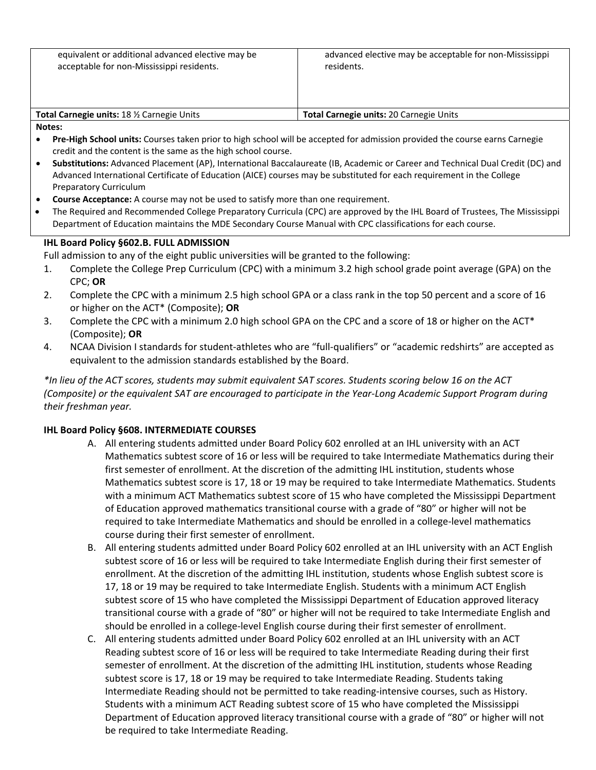| equivalent or additional advanced elective may be |
|---------------------------------------------------|
| acceptable for non-Mississippi residents.         |

| <b>Total Carnegie units: 18 % Carnegie Units</b> | Total Carnegie units: 20 Carnegie Units |
|--------------------------------------------------|-----------------------------------------|
| .                                                |                                         |

- **Notes:**
- **Pre-High School units:** Courses taken prior to high school will be accepted for admission provided the course earns Carnegie credit and the content is the same as the high school course.
- **Substitutions:** Advanced Placement (AP), International Baccalaureate (IB, Academic or Career and Technical Dual Credit (DC) and Advanced International Certificate of Education (AICE) courses may be substituted for each requirement in the College Preparatory Curriculum
- **Course Acceptance:** A course may not be used to satisfy more than one requirement.
- The Required and Recommended College Preparatory Curricula (CPC) are approved by the IHL Board of Trustees, The Mississippi Department of Education maintains the MDE Secondary Course Manual with CPC classifications for each course.

## **IHL Board Policy §602.B. FULL ADMISSION**

Full admission to any of the eight public universities will be granted to the following:

- 1. Complete the College Prep Curriculum (CPC) with a minimum 3.2 high school grade point average (GPA) on the CPC; **OR**
- 2. Complete the CPC with a minimum 2.5 high school GPA or a class rank in the top 50 percent and a score of 16 or higher on the ACT\* (Composite); **OR**
- 3. Complete the CPC with a minimum 2.0 high school GPA on the CPC and a score of 18 or higher on the ACT\* (Composite); **OR**
- 4. NCAA Division I standards for student‐athletes who are "full‐qualifiers" or "academic redshirts" are accepted as equivalent to the admission standards established by the Board.

\*In lieu of the ACT scores, students may submit equivalent SAT scores. Students scoring below 16 on the ACT (Composite) or the equivalent SAT are encouraged to participate in the Year-Long Academic Support Program during *their freshman year.*

## **IHL Board Policy §608. INTERMEDIATE COURSES**

- A. All entering students admitted under Board Policy 602 enrolled at an IHL university with an ACT Mathematics subtest score of 16 or less will be required to take Intermediate Mathematics during their first semester of enrollment. At the discretion of the admitting IHL institution, students whose Mathematics subtest score is 17, 18 or 19 may be required to take Intermediate Mathematics. Students with a minimum ACT Mathematics subtest score of 15 who have completed the Mississippi Department of Education approved mathematics transitional course with a grade of "80" or higher will not be required to take Intermediate Mathematics and should be enrolled in a college-level mathematics course during their first semester of enrollment.
- B. All entering students admitted under Board Policy 602 enrolled at an IHL university with an ACT English subtest score of 16 or less will be required to take Intermediate English during their first semester of enrollment. At the discretion of the admitting IHL institution, students whose English subtest score is 17, 18 or 19 may be required to take Intermediate English. Students with a minimum ACT English subtest score of 15 who have completed the Mississippi Department of Education approved literacy transitional course with a grade of "80" or higher will not be required to take Intermediate English and should be enrolled in a college-level English course during their first semester of enrollment.
- C. All entering students admitted under Board Policy 602 enrolled at an IHL university with an ACT Reading subtest score of 16 or less will be required to take Intermediate Reading during their first semester of enrollment. At the discretion of the admitting IHL institution, students whose Reading subtest score is 17, 18 or 19 may be required to take Intermediate Reading. Students taking Intermediate Reading should not be permitted to take reading‐intensive courses, such as History. Students with a minimum ACT Reading subtest score of 15 who have completed the Mississippi Department of Education approved literacy transitional course with a grade of "80" or higher will not be required to take Intermediate Reading.